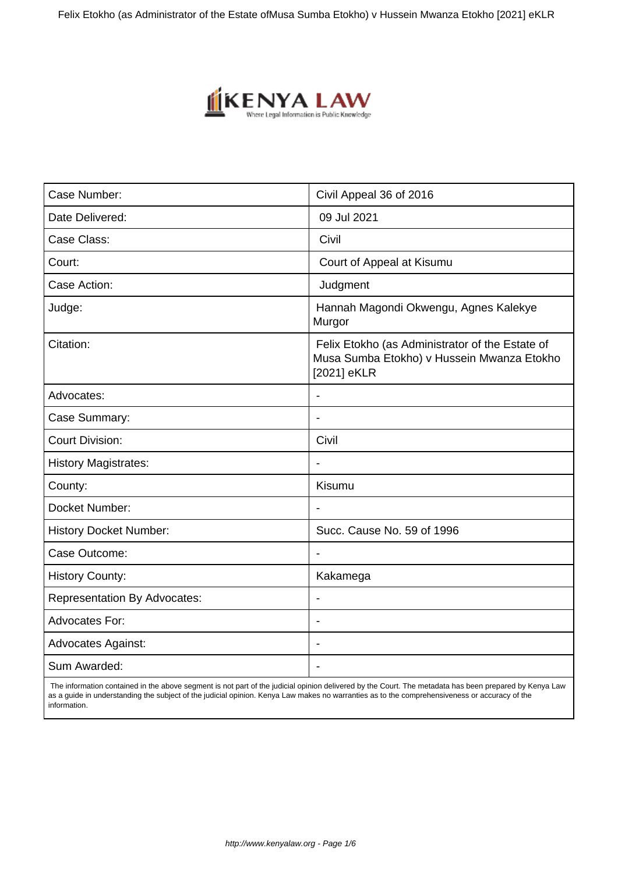Felix Etokho (as Administrator of the Estate of Musa Sumba Etokho) v Hussein Mwanza Etokho [2021] eKLR



| Case Number:                        | Civil Appeal 36 of 2016                                                                                      |
|-------------------------------------|--------------------------------------------------------------------------------------------------------------|
| Date Delivered:                     | 09 Jul 2021                                                                                                  |
| Case Class:                         | Civil                                                                                                        |
| Court:                              | Court of Appeal at Kisumu                                                                                    |
| Case Action:                        | Judgment                                                                                                     |
| Judge:                              | Hannah Magondi Okwengu, Agnes Kalekye<br>Murgor                                                              |
| Citation:                           | Felix Etokho (as Administrator of the Estate of<br>Musa Sumba Etokho) v Hussein Mwanza Etokho<br>[2021] eKLR |
| Advocates:                          | $\blacksquare$                                                                                               |
| Case Summary:                       |                                                                                                              |
| <b>Court Division:</b>              | Civil                                                                                                        |
| <b>History Magistrates:</b>         | $\overline{\phantom{a}}$                                                                                     |
| County:                             | Kisumu                                                                                                       |
| Docket Number:                      |                                                                                                              |
| <b>History Docket Number:</b>       | Succ. Cause No. 59 of 1996                                                                                   |
| Case Outcome:                       | $\blacksquare$                                                                                               |
| <b>History County:</b>              | Kakamega                                                                                                     |
| <b>Representation By Advocates:</b> | $\overline{\phantom{a}}$                                                                                     |
| <b>Advocates For:</b>               | $\blacksquare$                                                                                               |
| <b>Advocates Against:</b>           | $\overline{\phantom{a}}$                                                                                     |
| Sum Awarded:                        |                                                                                                              |

 The information contained in the above segment is not part of the judicial opinion delivered by the Court. The metadata has been prepared by Kenya Law as a guide in understanding the subject of the judicial opinion. Kenya Law makes no warranties as to the comprehensiveness or accuracy of the information.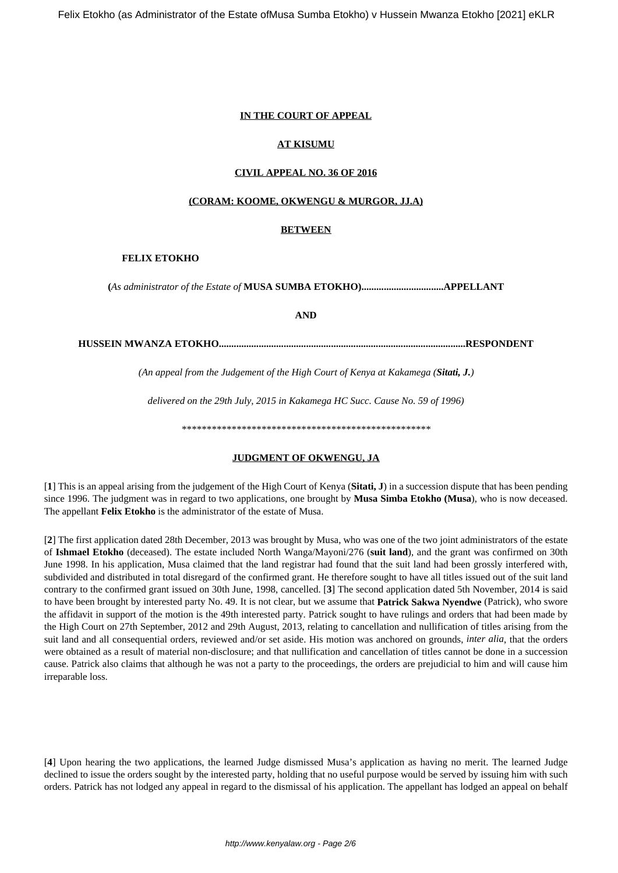# **IN THE COURT OF APPEAL**

#### **AT KISUMU**

#### **CIVIL APPEAL NO. 36 OF 2016**

# **(CORAM: KOOME, OKWENGU & MURGOR, JJ.A)**

#### **BETWEEN**

#### **FELIX ETOKHO**

**(***As administrator of the Estate of* **MUSA SUMBA ETOKHO).................................APPELLANT**

**AND**

**HUSSEIN MWANZA ETOKHO...................................................................................................RESPONDENT**

*(An appeal from the Judgement of the High Court of Kenya at Kakamega (Sitati, J.)*

*delivered on the 29th July, 2015 in Kakamega HC Succ. Cause No. 59 of 1996)*

*\*\*\*\*\*\*\*\*\*\*\*\*\*\*\*\*\*\*\*\*\*\*\*\*\*\*\*\*\*\*\*\*\*\*\*\*\*\*\*\*\*\*\*\*\*\*\*\*\*\**

# **JUDGMENT OF OKWENGU, JA**

[**1**] This is an appeal arising from the judgement of the High Court of Kenya (**Sitati, J**) in a succession dispute that has been pending since 1996. The judgment was in regard to two applications, one brought by **Musa Simba Etokho (Musa**), who is now deceased. The appellant **Felix Etokho** is the administrator of the estate of Musa.

[**2**] The first application dated 28th December, 2013 was brought by Musa, who was one of the two joint administrators of the estate of **Ishmael Etokho** (deceased). The estate included North Wanga/Mayoni/276 (**suit land**), and the grant was confirmed on 30th June 1998. In his application, Musa claimed that the land registrar had found that the suit land had been grossly interfered with, subdivided and distributed in total disregard of the confirmed grant. He therefore sought to have all titles issued out of the suit land contrary to the confirmed grant issued on 30th June, 1998, cancelled. [**3**] The second application dated 5th November, 2014 is said to have been brought by interested party No. 49. It is not clear, but we assume that **Patrick Sakwa Nyendwe** (Patrick), who swore the affidavit in support of the motion is the 49th interested party. Patrick sought to have rulings and orders that had been made by the High Court on 27th September, 2012 and 29th August, 2013, relating to cancellation and nullification of titles arising from the suit land and all consequential orders, reviewed and/or set aside. His motion was anchored on grounds, *inter alia*, that the orders were obtained as a result of material non-disclosure; and that nullification and cancellation of titles cannot be done in a succession cause. Patrick also claims that although he was not a party to the proceedings, the orders are prejudicial to him and will cause him irreparable loss.

[**4**] Upon hearing the two applications, the learned Judge dismissed Musa's application as having no merit. The learned Judge declined to issue the orders sought by the interested party, holding that no useful purpose would be served by issuing him with such orders. Patrick has not lodged any appeal in regard to the dismissal of his application. The appellant has lodged an appeal on behalf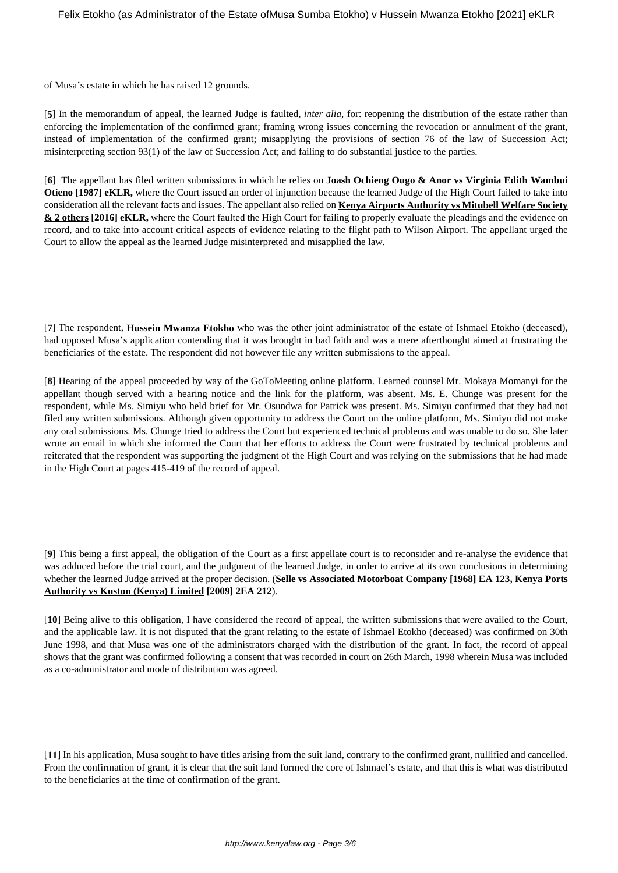of Musa's estate in which he has raised 12 grounds.

[**5**] In the memorandum of appeal, the learned Judge is faulted, *inter alia*, for: reopening the distribution of the estate rather than enforcing the implementation of the confirmed grant; framing wrong issues concerning the revocation or annulment of the grant, instead of implementation of the confirmed grant; misapplying the provisions of section 76 of the law of Succession Act; misinterpreting section 93(1) of the law of Succession Act; and failing to do substantial justice to the parties.

[**6**] The appellant has filed written submissions in which he relies on **Joash Ochieng Ougo & Anor vs Virginia Edith Wambui Otieno [1987] eKLR,** where the Court issued an order of injunction because the learned Judge of the High Court failed to take into consideration all the relevant facts and issues. The appellant also relied on **Kenya Airports Authority vs Mitubell Welfare Society & 2 others [2016] eKLR,** where the Court faulted the High Court for failing to properly evaluate the pleadings and the evidence on record, and to take into account critical aspects of evidence relating to the flight path to Wilson Airport. The appellant urged the Court to allow the appeal as the learned Judge misinterpreted and misapplied the law.

[**7**] The respondent, **Hussein Mwanza Etokho** who was the other joint administrator of the estate of Ishmael Etokho (deceased), had opposed Musa's application contending that it was brought in bad faith and was a mere afterthought aimed at frustrating the beneficiaries of the estate. The respondent did not however file any written submissions to the appeal.

[**8**] Hearing of the appeal proceeded by way of the GoToMeeting online platform. Learned counsel Mr. Mokaya Momanyi for the appellant though served with a hearing notice and the link for the platform, was absent. Ms. E. Chunge was present for the respondent, while Ms. Simiyu who held brief for Mr. Osundwa for Patrick was present. Ms. Simiyu confirmed that they had not filed any written submissions. Although given opportunity to address the Court on the online platform, Ms. Simiyu did not make any oral submissions. Ms. Chunge tried to address the Court but experienced technical problems and was unable to do so. She later wrote an email in which she informed the Court that her efforts to address the Court were frustrated by technical problems and reiterated that the respondent was supporting the judgment of the High Court and was relying on the submissions that he had made in the High Court at pages 415-419 of the record of appeal.

[**9**] This being a first appeal, the obligation of the Court as a first appellate court is to reconsider and re-analyse the evidence that was adduced before the trial court, and the judgment of the learned Judge, in order to arrive at its own conclusions in determining whether the learned Judge arrived at the proper decision. (**Selle vs Associated Motorboat Company [1968] EA 123, Kenya Ports Authority vs Kuston (Kenya) Limited [2009] 2EA 212**).

[**10**] Being alive to this obligation, I have considered the record of appeal, the written submissions that were availed to the Court, and the applicable law. It is not disputed that the grant relating to the estate of Ishmael Etokho (deceased) was confirmed on 30th June 1998, and that Musa was one of the administrators charged with the distribution of the grant. In fact, the record of appeal shows that the grant was confirmed following a consent that was recorded in court on 26th March, 1998 wherein Musa was included as a co-administrator and mode of distribution was agreed.

[**11**] In his application, Musa sought to have titles arising from the suit land, contrary to the confirmed grant, nullified and cancelled. From the confirmation of grant, it is clear that the suit land formed the core of Ishmael's estate, and that this is what was distributed to the beneficiaries at the time of confirmation of the grant.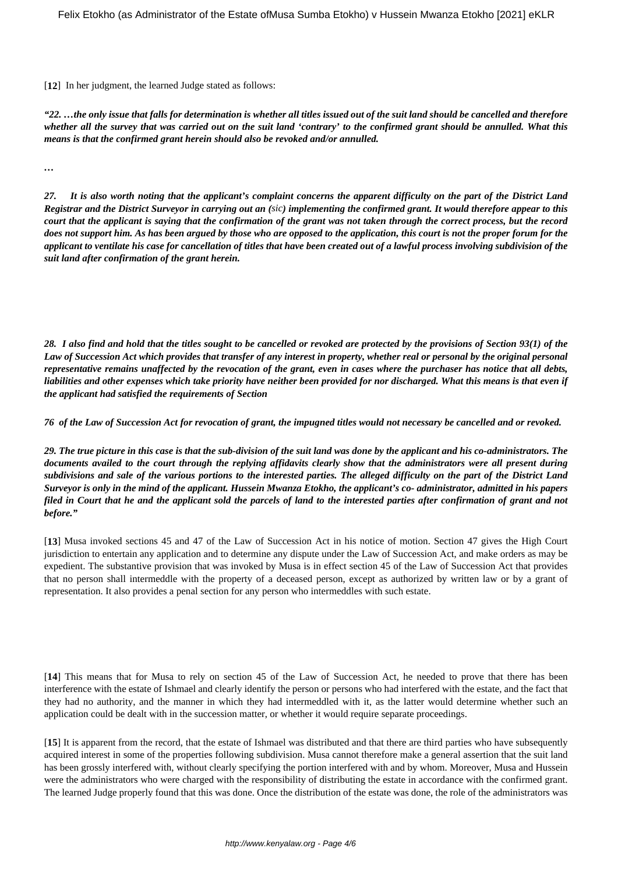[12] In her judgment, the learned Judge stated as follows:

*"22. …the only issue that falls for determination is whether all titles issued out of the suit land should be cancelled and therefore whether all the survey that was carried out on the suit land 'contrary' to the confirmed grant should be annulled. What this means is that the confirmed grant herein should also be revoked and/or annulled.*

*…*

*27. It is also worth noting that the applicant's complaint concerns the apparent difficulty on the part of the District Land Registrar and the District Surveyor in carrying out an (sic) implementing the confirmed grant. It would therefore appear to this court that the applicant is saying that the confirmation of the grant was not taken through the correct process, but the record does not support him. As has been argued by those who are opposed to the application, this court is not the proper forum for the applicant to ventilate his case for cancellation of titles that have been created out of a lawful process involving subdivision of the suit land after confirmation of the grant herein.*

*28. I also find and hold that the titles sought to be cancelled or revoked are protected by the provisions of Section 93(1) of the Law of Succession Act which provides that transfer of any interest in property, whether real or personal by the original personal representative remains unaffected by the revocation of the grant, even in cases where the purchaser has notice that all debts, liabilities and other expenses which take priority have neither been provided for nor discharged. What this means is that even if the applicant had satisfied the requirements of Section*

*76 of the Law of Succession Act for revocation of grant, the impugned titles would not necessary be cancelled and or revoked.*

*29. The true picture in this case is that the sub-division of the suit land was done by the applicant and his co-administrators. The documents availed to the court through the replying affidavits clearly show that the administrators were all present during subdivisions and sale of the various portions to the interested parties. The alleged difficulty on the part of the District Land Surveyor is only in the mind of the applicant. Hussein Mwanza Etokho, the applicant's co- administrator, admitted in his papers filed in Court that he and the applicant sold the parcels of land to the interested parties after confirmation of grant and not before."*

[**13**] Musa invoked sections 45 and 47 of the Law of Succession Act in his notice of motion. Section 47 gives the High Court jurisdiction to entertain any application and to determine any dispute under the Law of Succession Act, and make orders as may be expedient. The substantive provision that was invoked by Musa is in effect section 45 of the Law of Succession Act that provides that no person shall intermeddle with the property of a deceased person, except as authorized by written law or by a grant of representation. It also provides a penal section for any person who intermeddles with such estate.

[**14**] This means that for Musa to rely on section 45 of the Law of Succession Act, he needed to prove that there has been interference with the estate of Ishmael and clearly identify the person or persons who had interfered with the estate, and the fact that they had no authority, and the manner in which they had intermeddled with it, as the latter would determine whether such an application could be dealt with in the succession matter, or whether it would require separate proceedings.

[**15**] It is apparent from the record, that the estate of Ishmael was distributed and that there are third parties who have subsequently acquired interest in some of the properties following subdivision. Musa cannot therefore make a general assertion that the suit land has been grossly interfered with, without clearly specifying the portion interfered with and by whom. Moreover, Musa and Hussein were the administrators who were charged with the responsibility of distributing the estate in accordance with the confirmed grant. The learned Judge properly found that this was done. Once the distribution of the estate was done, the role of the administrators was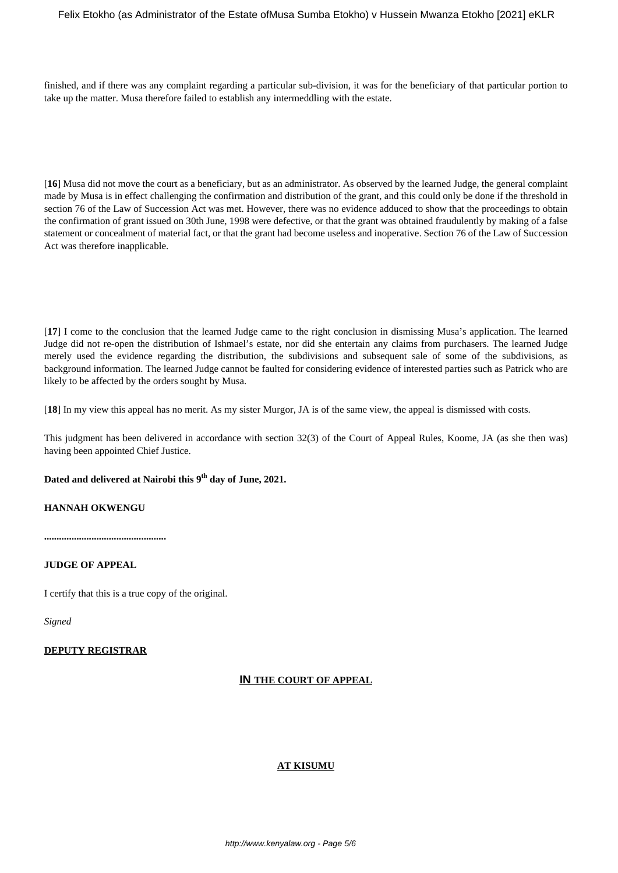finished, and if there was any complaint regarding a particular sub-division, it was for the beneficiary of that particular portion to take up the matter. Musa therefore failed to establish any intermeddling with the estate.

[**16**] Musa did not move the court as a beneficiary, but as an administrator. As observed by the learned Judge, the general complaint made by Musa is in effect challenging the confirmation and distribution of the grant, and this could only be done if the threshold in section 76 of the Law of Succession Act was met. However, there was no evidence adduced to show that the proceedings to obtain the confirmation of grant issued on 30th June, 1998 were defective, or that the grant was obtained fraudulently by making of a false statement or concealment of material fact, or that the grant had become useless and inoperative. Section 76 of the Law of Succession Act was therefore inapplicable.

[**17**] I come to the conclusion that the learned Judge came to the right conclusion in dismissing Musa's application. The learned Judge did not re-open the distribution of Ishmael's estate, nor did she entertain any claims from purchasers. The learned Judge merely used the evidence regarding the distribution, the subdivisions and subsequent sale of some of the subdivisions, as background information. The learned Judge cannot be faulted for considering evidence of interested parties such as Patrick who are likely to be affected by the orders sought by Musa.

[**18**] In my view this appeal has no merit. As my sister Murgor, JA is of the same view, the appeal is dismissed with costs.

This judgment has been delivered in accordance with section 32(3) of the Court of Appeal Rules, Koome, JA (as she then was) having been appointed Chief Justice.

# **Dated and delivered at Nairobi this 9th day of June, 2021.**

# **HANNAH OKWENGU**

**.................................................**

# **JUDGE OF APPEAL**

I certify that this is a true copy of the original.

*Signed*

# **DEPUTY REGISTRAR**

# **IN THE COURT OF APPEAL**

# **AT KISUMU**